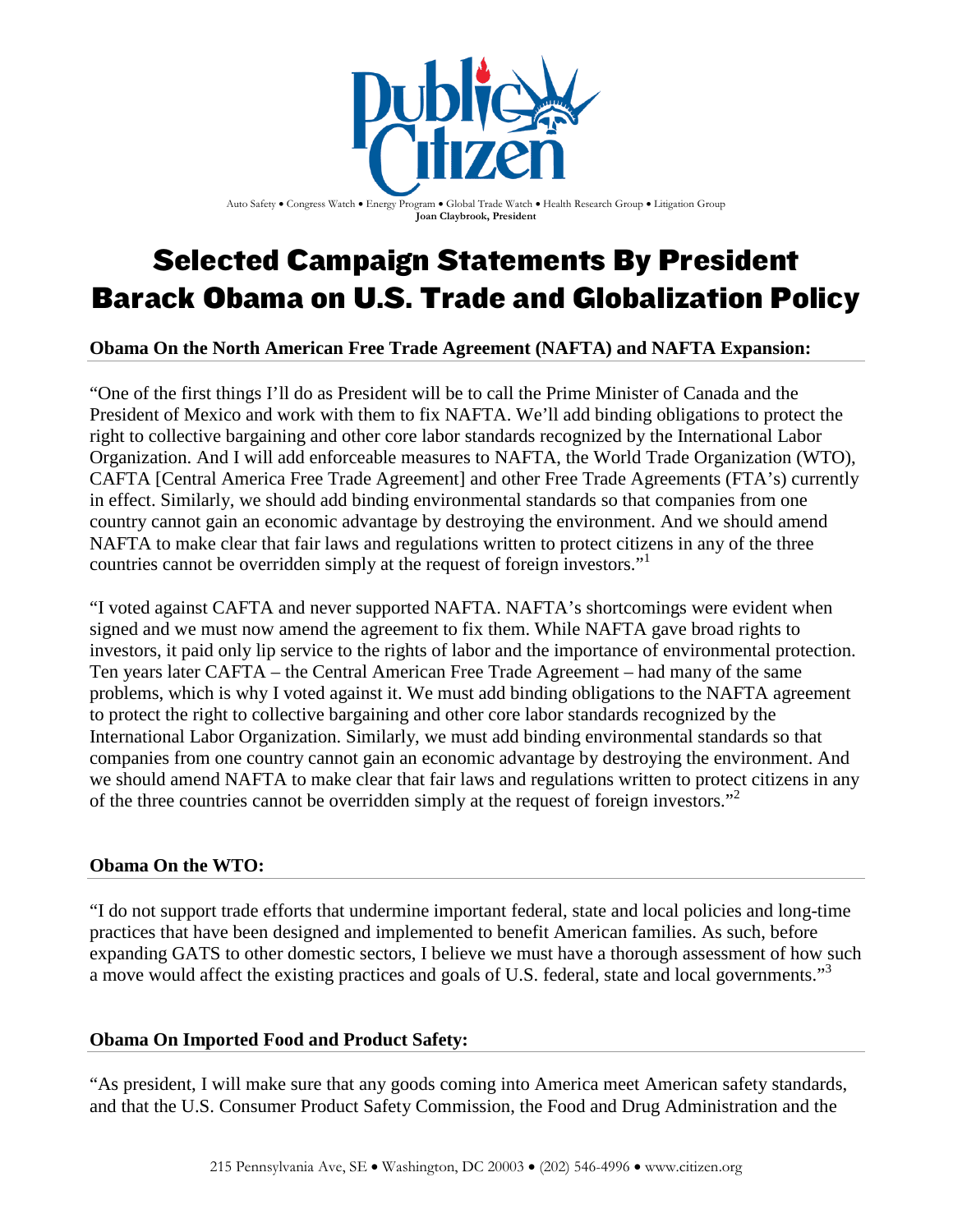

Auto Safety . Congress Watch . Energy Program . Global Trade Watch . Health Research Group . Litigation Group **Joan Claybrook, President**

# Selected Campaign Statements By President Barack Obama on U.S. Trade and Globalization Policy

**Obama On the North American Free Trade Agreement (NAFTA) and NAFTA Expansion:**

"One of the first things I'll do as President will be to call the Prime Minister of Canada and the President of Mexico and work with them to fix NAFTA. We'll add binding obligations to protect the right to collective bargaining and other core labor standards recognized by the International Labor Organization. And I will add enforceable measures to NAFTA, the World Trade Organization (WTO), CAFTA [Central America Free Trade Agreement] and other Free Trade Agreements (FTA's) currently in effect. Similarly, we should add binding environmental standards so that companies from one country cannot gain an economic advantage by destroying the environment. And we should amend NAFTA to make clear that fair laws and regulations written to protect citizens in any of the three countries cannot be overridden simply at the request of foreign investors."<sup>[1](#page-3-0)</sup>

"I voted against CAFTA and never supported NAFTA. NAFTA's shortcomings were evident when signed and we must now amend the agreement to fix them. While NAFTA gave broad rights to investors, it paid only lip service to the rights of labor and the importance of environmental protection. Ten years later CAFTA – the Central American Free Trade Agreement – had many of the same problems, which is why I voted against it. We must add binding obligations to the NAFTA agreement to protect the right to collective bargaining and other core labor standards recognized by the International Labor Organization. Similarly, we must add binding environmental standards so that companies from one country cannot gain an economic advantage by destroying the environment. And we should amend NAFTA to make clear that fair laws and regulations written to protect citizens in any of the three countries cannot be overridden simply at the request of foreign investors."[2](#page-3-1)

## **Obama On the WTO:**

"I do not support trade efforts that undermine important federal, state and local policies and long-time practices that have been designed and implemented to benefit American families. As such, before expanding GATS to other domestic sectors, I believe we must have a thorough assessment of how such a move would affect the existing practices and goals of U.S. federal, state and local governments."<sup>[3](#page-3-2)</sup>

## **Obama On Imported Food and Product Safety:**

"As president, I will make sure that any goods coming into America meet American safety standards, and that the U.S. Consumer Product Safety Commission, the Food and Drug Administration and the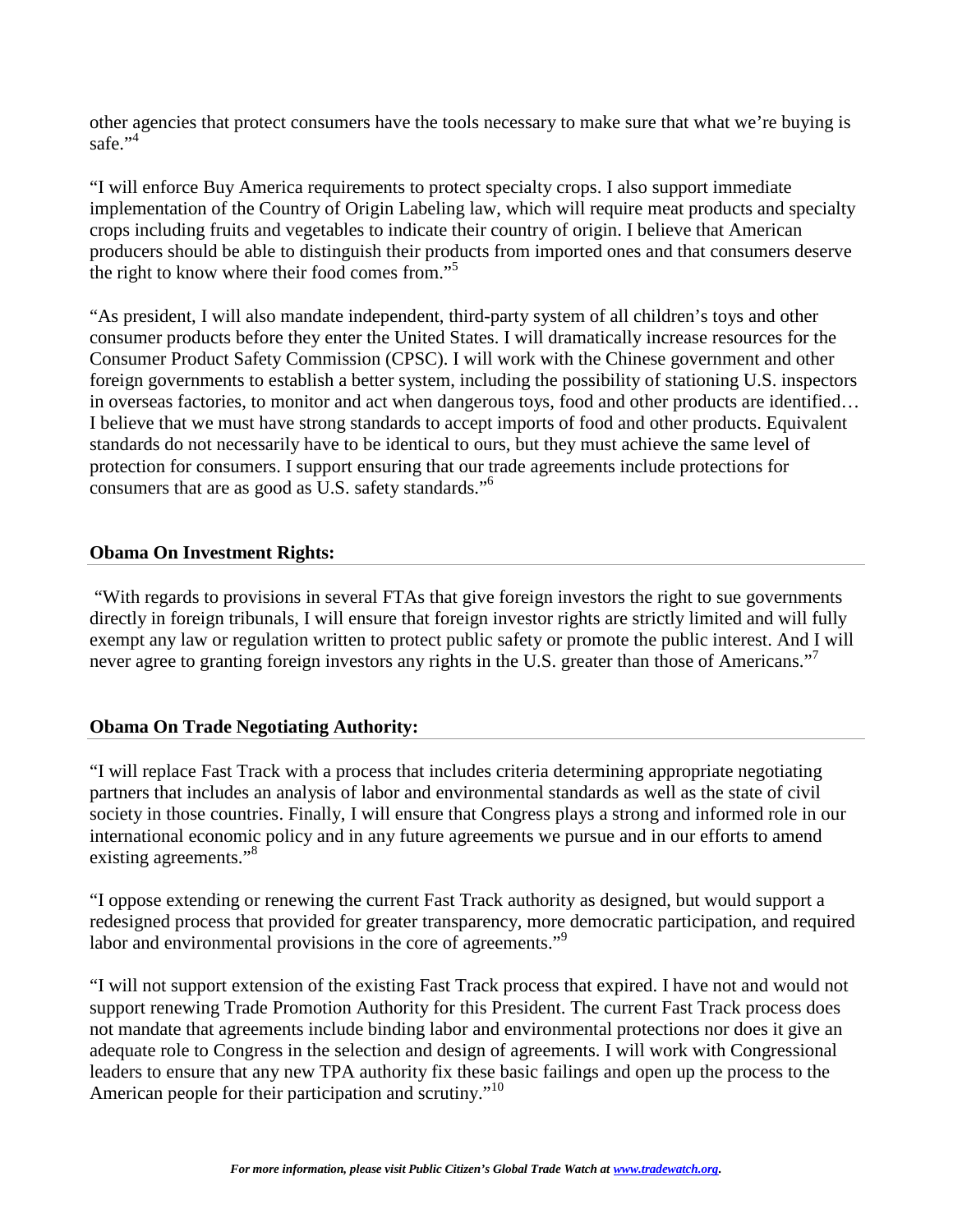other agencies that protect consumers have the tools necessary to make sure that what we're buying is safe." $^{4}$  $^{4}$  $^{4}$ 

"I will enforce Buy America requirements to protect specialty crops. I also support immediate implementation of the Country of Origin Labeling law, which will require meat products and specialty crops including fruits and vegetables to indicate their country of origin. I believe that American producers should be able to distinguish their products from imported ones and that consumers deserve the right to know where their food comes from."[5](#page-3-4)

"As president, I will also mandate independent, third-party system of all children's toys and other consumer products before they enter the United States. I will dramatically increase resources for the Consumer Product Safety Commission (CPSC). I will work with the Chinese government and other foreign governments to establish a better system, including the possibility of stationing U.S. inspectors in overseas factories, to monitor and act when dangerous toys, food and other products are identified… I believe that we must have strong standards to accept imports of food and other products. Equivalent standards do not necessarily have to be identical to ours, but they must achieve the same level of protection for consumers. I support ensuring that our trade agreements include protections for consumers that are as good as U.S. safety standards."[6](#page-3-5)

## **Obama On Investment Rights:**

"With regards to provisions in several FTAs that give foreign investors the right to sue governments directly in foreign tribunals, I will ensure that foreign investor rights are strictly limited and will fully exempt any law or regulation written to protect public safety or promote the public interest. And I will never agree to granting foreign investors any rights in the U.S. greater than those of Americans."

## **Obama On Trade Negotiating Authority:**

"I will replace Fast Track with a process that includes criteria determining appropriate negotiating partners that includes an analysis of labor and environmental standards as well as the state of civil society in those countries. Finally, I will ensure that Congress plays a strong and informed role in our international economic policy and in any future agreements we pursue and in our efforts to amend existing agreements."<sup>[8](#page-3-7)</sup>

"I oppose extending or renewing the current Fast Track authority as designed, but would support a redesigned process that provided for greater transparency, more democratic participation, and required labor and environmental provisions in the core of agreements."<sup>[9](#page-3-8)</sup>

"I will not support extension of the existing Fast Track process that expired. I have not and would not support renewing Trade Promotion Authority for this President. The current Fast Track process does not mandate that agreements include binding labor and environmental protections nor does it give an adequate role to Congress in the selection and design of agreements. I will work with Congressional leaders to ensure that any new TPA authority fix these basic failings and open up the process to the American people for their participation and scrutiny."[10](#page-3-9)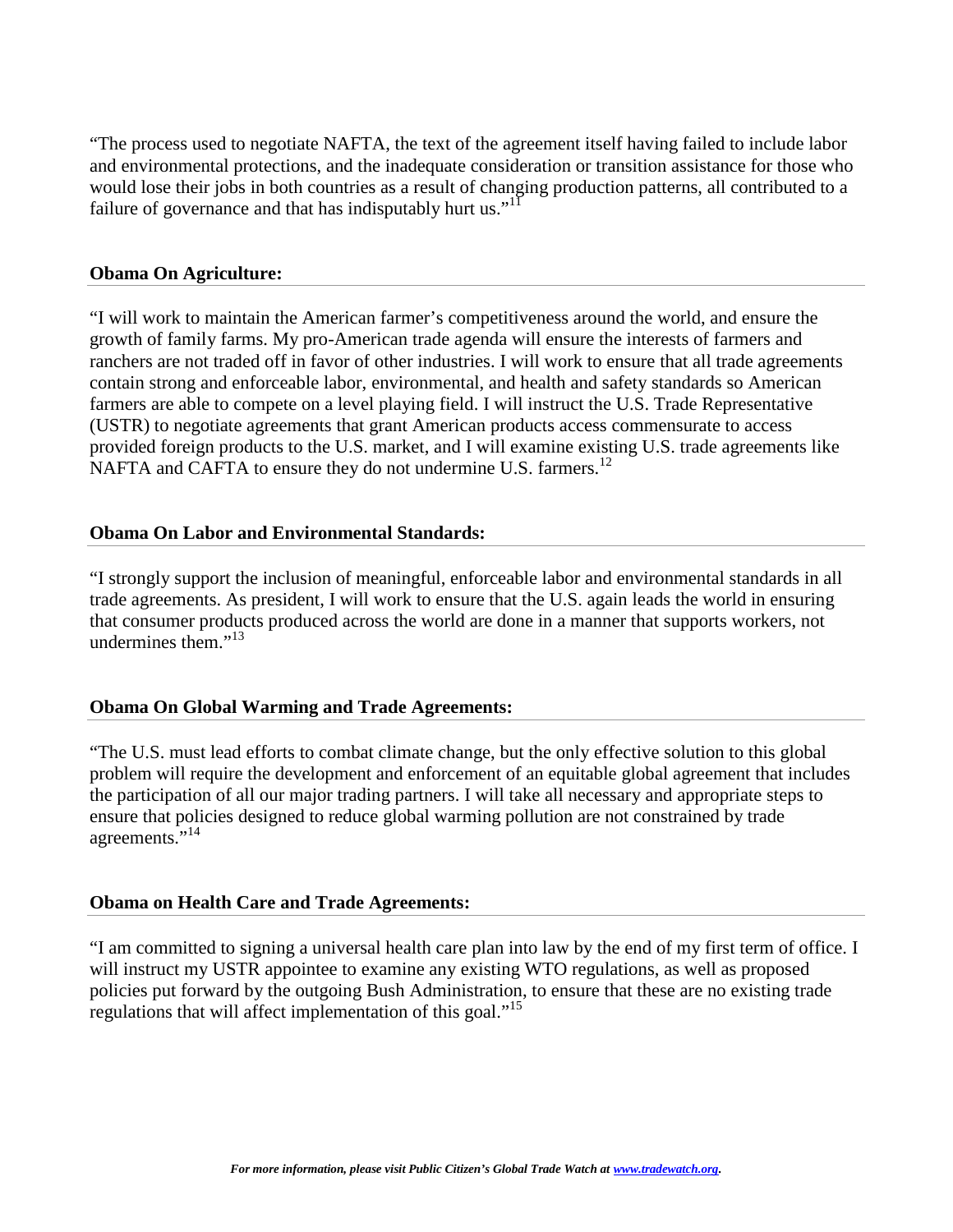"The process used to negotiate NAFTA, the text of the agreement itself having failed to include labor and environmental protections, and the inadequate consideration or transition assistance for those who would lose their jobs in both countries as a result of changing production patterns, all contributed to a failure of governance and that has indisputably hurt us."<sup>[11](#page-3-10)</sup>

### **Obama On Agriculture:**

"I will work to maintain the American farmer's competitiveness around the world, and ensure the growth of family farms. My pro-American trade agenda will ensure the interests of farmers and ranchers are not traded off in favor of other industries. I will work to ensure that all trade agreements contain strong and enforceable labor, environmental, and health and safety standards so American farmers are able to compete on a level playing field. I will instruct the U.S. Trade Representative (USTR) to negotiate agreements that grant American products access commensurate to access provided foreign products to the U.S. market, and I will examine existing U.S. trade agreements like NAFTA and CAFTA to ensure they do not undermine U.S. farmers.<sup>[12](#page-3-11)</sup>

### **Obama On Labor and Environmental Standards:**

"I strongly support the inclusion of meaningful, enforceable labor and environmental standards in all trade agreements. As president, I will work to ensure that the U.S. again leads the world in ensuring that consumer products produced across the world are done in a manner that supports workers, not undermines them. $113$  $113$ 

### **Obama On Global Warming and Trade Agreements:**

"The U.S. must lead efforts to combat climate change, but the only effective solution to this global problem will require the development and enforcement of an equitable global agreement that includes the participation of all our major trading partners. I will take all necessary and appropriate steps to ensure that policies designed to reduce global warming pollution are not constrained by trade agreements."<sup>[14](#page-3-13)</sup>

### **Obama on Health Care and Trade Agreements:**

"I am committed to signing a universal health care plan into law by the end of my first term of office. I will instruct my USTR appointee to examine any existing WTO regulations, as well as proposed policies put forward by the outgoing Bush Administration, to ensure that these are no existing trade regulations that will affect implementation of this goal."<sup>[15](#page-3-14)</sup>